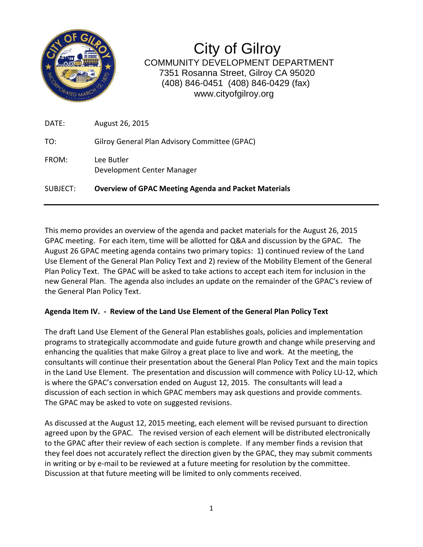

City of Gilroy COMMUNITY DEVELOPMENT DEPARTMENT 7351 Rosanna Street, Gilroy CA 95020 (408) 846-0451 (408) 846-0429 (fax) www.cityofgilroy.org

| SUBJECT: | <b>Overview of GPAC Meeting Agenda and Packet Materials</b> |
|----------|-------------------------------------------------------------|
| FROM:    | Lee Butler<br>Development Center Manager                    |
| TO:      | Gilroy General Plan Advisory Committee (GPAC)               |
| DATE:    | August 26, 2015                                             |

This memo provides an overview of the agenda and packet materials for the August 26, 2015 GPAC meeting. For each item, time will be allotted for Q&A and discussion by the GPAC. The August 26 GPAC meeting agenda contains two primary topics: 1) continued review of the Land Use Element of the General Plan Policy Text and 2) review of the Mobility Element of the General Plan Policy Text. The GPAC will be asked to take actions to accept each item for inclusion in the new General Plan. The agenda also includes an update on the remainder of the GPAC's review of the General Plan Policy Text.

## **Agenda Item IV. - Review of the Land Use Element of the General Plan Policy Text**

The draft Land Use Element of the General Plan establishes goals, policies and implementation programs to strategically accommodate and guide future growth and change while preserving and enhancing the qualities that make Gilroy a great place to live and work. At the meeting, the consultants will continue their presentation about the General Plan Policy Text and the main topics in the Land Use Element. The presentation and discussion will commence with Policy LU-12, which is where the GPAC's conversation ended on August 12, 2015. The consultants will lead a discussion of each section in which GPAC members may ask questions and provide comments. The GPAC may be asked to vote on suggested revisions.

As discussed at the August 12, 2015 meeting, each element will be revised pursuant to direction agreed upon by the GPAC. The revised version of each element will be distributed electronically to the GPAC after their review of each section is complete. If any member finds a revision that they feel does not accurately reflect the direction given by the GPAC, they may submit comments in writing or by e-mail to be reviewed at a future meeting for resolution by the committee. Discussion at that future meeting will be limited to only comments received.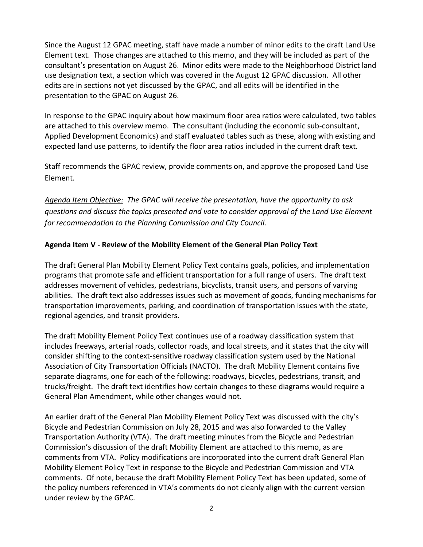Since the August 12 GPAC meeting, staff have made a number of minor edits to the draft Land Use Element text. Those changes are attached to this memo, and they will be included as part of the consultant's presentation on August 26. Minor edits were made to the Neighborhood District land use designation text, a section which was covered in the August 12 GPAC discussion. All other edits are in sections not yet discussed by the GPAC, and all edits will be identified in the presentation to the GPAC on August 26.

In response to the GPAC inquiry about how maximum floor area ratios were calculated, two tables are attached to this overview memo. The consultant (including the economic sub-consultant, Applied Development Economics) and staff evaluated tables such as these, along with existing and expected land use patterns, to identify the floor area ratios included in the current draft text.

Staff recommends the GPAC review, provide comments on, and approve the proposed Land Use Element.

*Agenda Item Objective: The GPAC will receive the presentation, have the opportunity to ask questions and discuss the topics presented and vote to consider approval of the Land Use Element for recommendation to the Planning Commission and City Council.*

## **Agenda Item V - Review of the Mobility Element of the General Plan Policy Text**

The draft General Plan Mobility Element Policy Text contains goals, policies, and implementation programs that promote safe and efficient transportation for a full range of users. The draft text addresses movement of vehicles, pedestrians, bicyclists, transit users, and persons of varying abilities. The draft text also addresses issues such as movement of goods, funding mechanisms for transportation improvements, parking, and coordination of transportation issues with the state, regional agencies, and transit providers.

The draft Mobility Element Policy Text continues use of a roadway classification system that includes freeways, arterial roads, collector roads, and local streets, and it states that the city will consider shifting to the context-sensitive roadway classification system used by the National Association of City Transportation Officials (NACTO). The draft Mobility Element contains five separate diagrams, one for each of the following: roadways, bicycles, pedestrians, transit, and trucks/freight. The draft text identifies how certain changes to these diagrams would require a General Plan Amendment, while other changes would not.

An earlier draft of the General Plan Mobility Element Policy Text was discussed with the city's Bicycle and Pedestrian Commission on July 28, 2015 and was also forwarded to the Valley Transportation Authority (VTA). The draft meeting minutes from the Bicycle and Pedestrian Commission's discussion of the draft Mobility Element are attached to this memo, as are comments from VTA. Policy modifications are incorporated into the current draft General Plan Mobility Element Policy Text in response to the Bicycle and Pedestrian Commission and VTA comments. Of note, because the draft Mobility Element Policy Text has been updated, some of the policy numbers referenced in VTA's comments do not cleanly align with the current version under review by the GPAC.